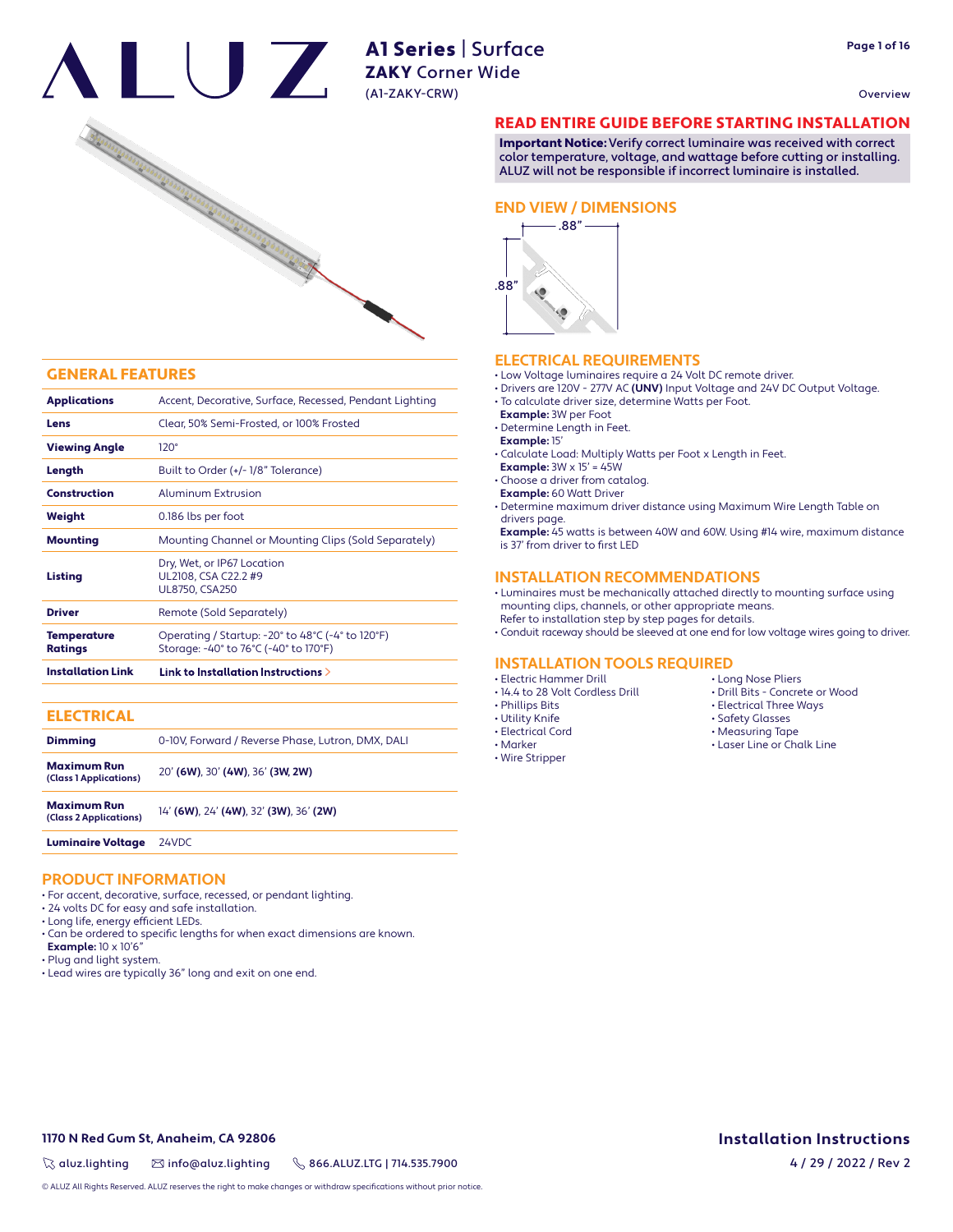Overview



### GENERAL FEATURES

| <b>Installation Link</b>      | Link to Installation Instructions $\geq$                                                  |  |  |  |  |  |
|-------------------------------|-------------------------------------------------------------------------------------------|--|--|--|--|--|
| <b>Temperature</b><br>Ratings | Operating / Startup: -20° to 48°C (-4° to 120°F)<br>Storage: -40° to 76°C (-40° to 170°F) |  |  |  |  |  |
| <b>Driver</b>                 | Remote (Sold Separately)                                                                  |  |  |  |  |  |
| Listing                       | Dry, Wet, or IP67 Location<br>UL2108, CSA C22.2 #9<br><b>UL8750, CSA250</b>               |  |  |  |  |  |
| <b>Mounting</b>               | Mounting Channel or Mounting Clips (Sold Separately)                                      |  |  |  |  |  |
| Weight                        | 0.186 lbs per foot                                                                        |  |  |  |  |  |
| <b>Construction</b>           | Aluminum Extrusion                                                                        |  |  |  |  |  |
| Length                        | Built to Order (+/-1/8" Tolerance)                                                        |  |  |  |  |  |
| <b>Viewing Angle</b>          | $120^\circ$                                                                               |  |  |  |  |  |
| Lens                          | Clear, 50% Semi-Frosted, or 100% Frosted                                                  |  |  |  |  |  |
| <b>Applications</b>           | Accent, Decorative, Surface, Recessed, Pendant Lighting                                   |  |  |  |  |  |

| <b>ELECTRICAL</b>                            |                                                   |
|----------------------------------------------|---------------------------------------------------|
| <b>Dimming</b>                               | 0-10V. Forward / Reverse Phase. Lutron. DMX. DALI |
| Maximum Run<br>(Class 1 Applications)        | 20' (6W), 30' (4W), 36' (3W, 2W)                  |
| <b>Maximum Run</b><br>(Class 2 Applications) | 14' (6W), 24' (4W), 32' (3W), 36' (2W)            |
| <b>Luminaire Voltage</b>                     | 24VDC                                             |

## **PRODUCT INFORMATION**

- For accent, decorative, surface, recessed, or pendant lighting.
- 24 volts DC for easy and safe installation.
- Long life, energy efficient LEDs.
- Can be ordered to specific lengths for when exact dimensions are known.
- **Example:** 10 x 10'6"
- Plug and light system.
- Lead wires are typically 36" long and exit on one end.

# READ ENTIRE GUIDE BEFORE STARTING INSTALLATION

Important Notice: Verify correct luminaire was received with correct color temperature, voltage, and wattage before cutting or installing. ALUZ will not be responsible if incorrect luminaire is installed.

### **END VIEW / DIMENSIONS**



# **ELECTRICAL REQUIREMENTS**

- Low Voltage luminaires require a 24 Volt DC remote driver.
- Drivers are 120V 277V AC **(UNV)** Input Voltage and 24V DC Output Voltage.
- To calculate driver size, determine Watts per Foot.
	- **Example:** 3W per Foot
	- Determine Length in Feet.
	- **Example:** 15'
	- Calculate Load: Multiply Watts per Foot x Length in Feet.
	- **Example:** 3W x 15' = 45W
	- Choose a driver from catalog.
	- **Example:** 60 Watt Driver
	- Determine maximum driver distance using Maximum Wire Length Table on drivers page.

 **Example:** 45 watts is between 40W and 60W. Using #14 wire, maximum distance is 37' from driver to first LED

# **INSTALLATION RECOMMENDATIONS**

• Luminaires must be mechanically attached directly to mounting surface using mounting clips, channels, or other appropriate means.

- 
- Refer to installation step by step pages for details. • Conduit raceway should be sleeved at one end for low voltage wires going to driver.

## **INSTALLATION TOOLS REQUIRED**

• Electric Hammer Drill

- 14.4 to 28 Volt Cordless Drill
- Phillips Bits
- Utility Knife
- Electrical Cord
- Marker
- Wire Stripper
- Long Nose Pliers • Drill Bits - Concrete or Wood
- Electrical Three Ways
- Safety Glasses
- Measuring Tape
- Laser Line or Chalk Line

# $\%$  aluz.lighting  $\%$  info@aluz.lighting  $\%$  866.ALUZ.LTG | 714.535.7900

**1170 N Red Gum St, Anaheim, CA 92806**

© ALUZ All Rights Reserved. ALUZ reserves the right to make changes or withdraw specifications without prior notice.

# **Installation Instructions**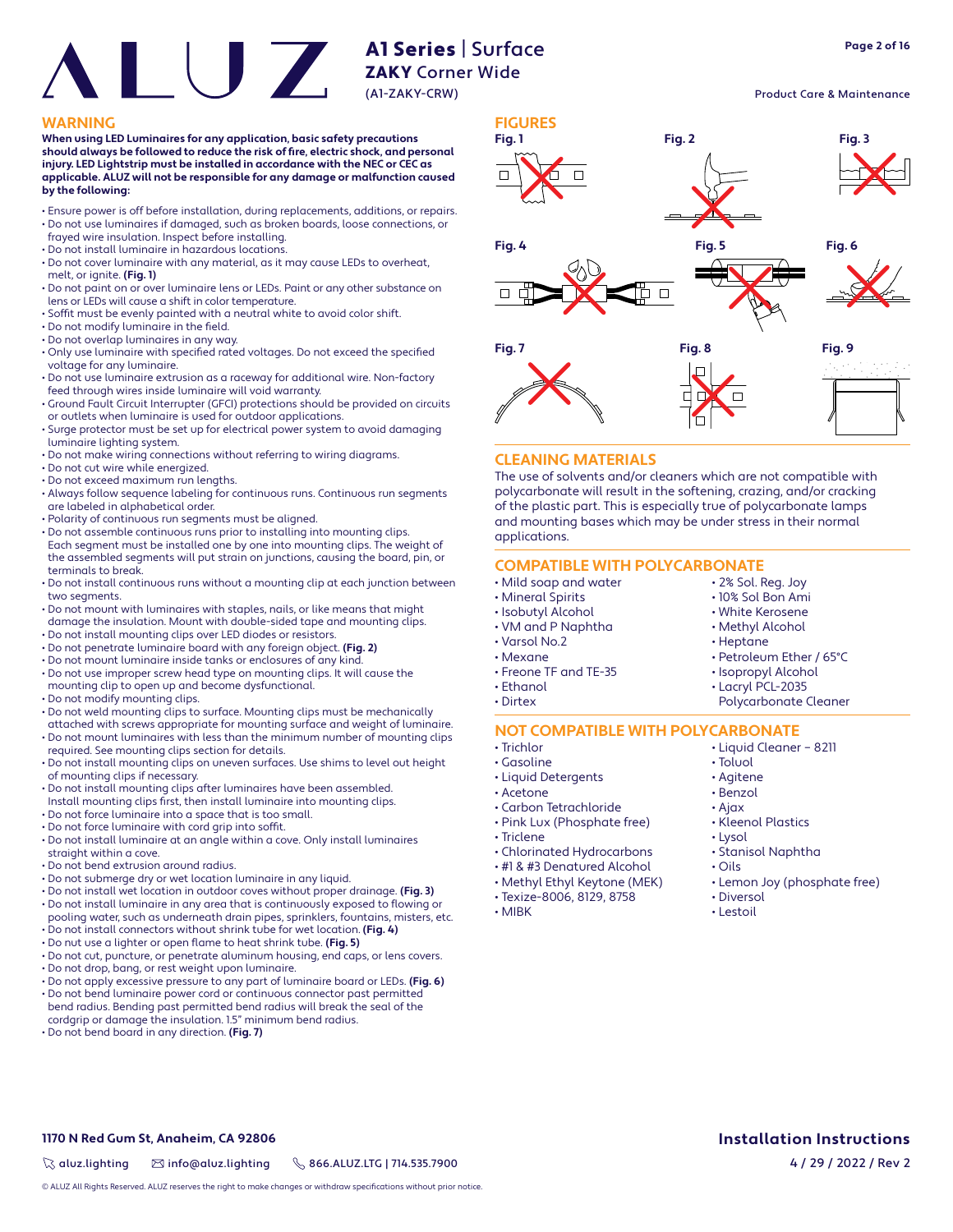# A1 Series | Surface ZAKY Corner Wide

(A1-ZAKY-CRW)

**When using LED Luminaires for any application, basic safety precautions**  should always be followed to reduce the risk of fire, electric shock, and personal **injury. LED Lightstrip must be installed in accordance with the NEC or CEC as applicable. ALUZ will not be responsible for any damage or malfunction caused by the following:**

- Ensure power is off before installation, during replacements, additions, or repairs. • Do not use luminaires if damaged, such as broken boards, loose connections, or
- frayed wire insulation. Inspect before installing.
- Do not install luminaire in hazardous locations.
- Do not cover luminaire with any material, as it may cause LEDs to overheat, melt, or ignite. **(Fig. 1)**
- Do not paint on or over luminaire lens or LEDs. Paint or any other substance on lens or LEDs will cause a shift in color temperature.
- Soffit must be evenly painted with a neutral white to avoid color shift.
- $\cdot$  Do not modify luminaire in the field.
- Do not overlap luminaires in any way.
- Only use luminaire with specified rated voltages. Do not exceed the specified voltage for any luminaire.
- Do not use luminaire extrusion as a raceway for additional wire. Non-factory feed through wires inside luminaire will void warranty.
- Ground Fault Circuit Interrupter (GFCI) protections should be provided on circuits or outlets when luminaire is used for outdoor applications.
- Surge protector must be set up for electrical power system to avoid damaging luminaire lighting system.
- Do not make wiring connections without referring to wiring diagrams.
- Do not cut wire while energized.
- Do not exceed maximum run lengths.
- Always follow sequence labeling for continuous runs. Continuous run segments are labeled in alphabetical order.
- Polarity of continuous run segments must be aligned.
- Do not assemble continuous runs prior to installing into mounting clips. Each segment must be installed one by one into mounting clips. The weight of the assembled segments will put strain on junctions, causing the board, pin, or terminals to break.
- Do not install continuous runs without a mounting clip at each junction between two segments.
- Do not mount with luminaires with staples, nails, or like means that might damage the insulation. Mount with double-sided tape and mounting clips.
- Do not install mounting clips over LED diodes or resistors.
- Do not penetrate luminaire board with any foreign object. **(Fig. 2)**
- Do not mount luminaire inside tanks or enclosures of any kind.
- Do not use improper screw head type on mounting clips. It will cause the mounting clip to open up and become dysfunctional.
- Do not modify mounting clips.
- Do not weld mounting clips to surface. Mounting clips must be mechanically
- attached with screws appropriate for mounting surface and weight of luminaire. • Do not mount luminaires with less than the minimum number of mounting clips
- required. See mounting clips section for details. • Do not install mounting clips on uneven surfaces. Use shims to level out height of mounting clips if necessary.
- Do not install mounting clips after luminaires have been assembled.
- Install mounting clips first, then install luminaire into mounting clips. • Do not force luminaire into a space that is too small.
- Do not force luminaire with cord grip into soffit.
- Do not install luminaire at an angle within a cove. Only install luminaires
- straight within a cove.
- Do not bend extrusion around radius.
- Do not submerge dry or wet location luminaire in any liquid.
- Do not install wet location in outdoor coves without proper drainage. **(Fig. 3)** • Do not install luminaire in any area that is continuously exposed to flowing or
- pooling water, such as underneath drain pipes, sprinklers, fountains, misters, etc. • Do not install connectors without shrink tube for wet location. **(Fig. 4)**
- Do nut use a lighter or open flame to heat shrink tube. **(Fig. 5)**
- Do not cut, puncture, or penetrate aluminum housing, end caps, or lens covers.
- Do not drop, bang, or rest weight upon luminaire.
- Do not apply excessive pressure to any part of luminaire board or LEDs. **(Fig. 6)**
- Do not bend luminaire power cord or continuous connector past permitted bend radius. Bending past permitted bend radius will break the seal of the cordgrip or damage the insulation. 1.5" minimum bend radius.
- Do not bend board in any direction. **(Fig. 7)**

**1170 N Red Gum St, Anaheim, CA 92806**



# **CLEANING MATERIALS**

The use of solvents and/or cleaners which are not compatible with polycarbonate will result in the softening, crazing, and/or cracking of the plastic part. This is especially true of polycarbonate lamps and mounting bases which may be under stress in their normal applications.

# **COMPATIBLE WITH POLYCARBONATE**

- Mild soap and water
- Mineral Spirits
- Isobutyl Alcohol
- VM and P Naphtha
- Varsol No.2
- Mexane
- Freone TF and TE-35
- Ethanol
- Dirtex
- 

### **NOT COMPATIBLE WITH POLYCARBONATE** • Liquid Cleaner – 8211

- Trichlor
- Gasoline
- Liquid Detergents
- Acetone
- Carbon Tetrachloride • Pink Lux (Phosphate free)
- Triclene
- 
- Chlorinated Hydrocarbons
- #1 & #3 Denatured Alcohol
- Methyl Ethyl Keytone (MEK)
- Texize-8006, 8129, 8758
- MIBK

Product Care & Maintenance

# **Installation Instructions** 4 / 29 / 2022 / Rev 2

 $\%$  aluz.lighting  $\%$  info@aluz.lighting  $\%$  866.ALUZ.LTG | 714.535.7900

• Methyl Alcohol • Heptane

> • Toluol • Agitene • Benzol • Ajax

• Lysol

• Oils

• Diversol • Lestoil

- Petroleum Ether / 65°C
- Isopropyl Alcohol

• 2% Sol. Reg. Joy • 10% Sol Bon Ami • White Kerosene

• Lacryl PCL-2035

• Kleenol Plastics

• Stanisol Naphtha

• Lemon Joy (phosphate free)

Polycarbonate Cleaner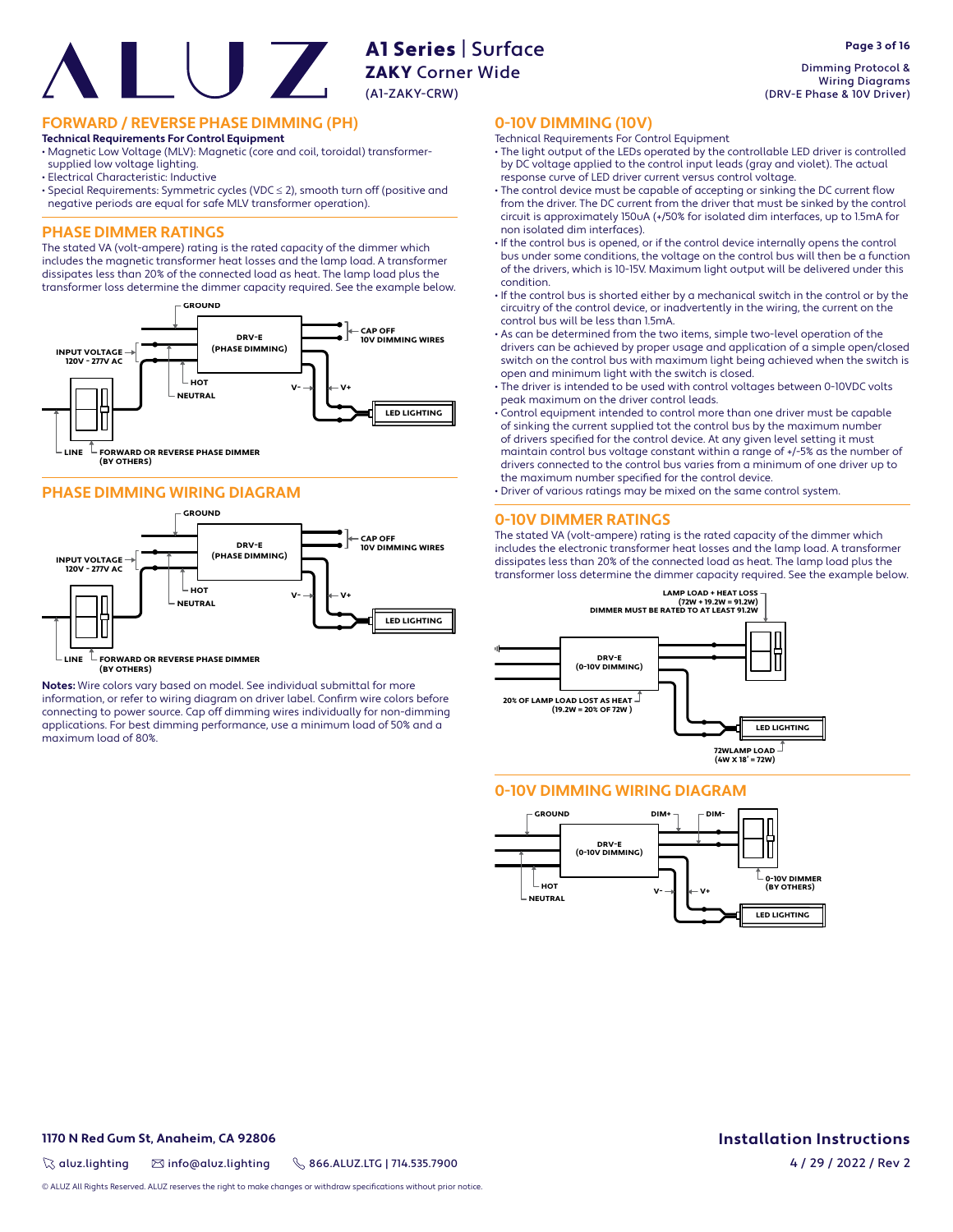# A1 Series | Surface AT SALLER<br>**ZAKY** Corner Wide (A1-ZAKY-CRW)

# **FORWARD / REVERSE PHASE DIMMING (PH)**

#### **Technical Requirements For Control Equipment**

• Magnetic Low Voltage (MLV): Magnetic (core and coil, toroidal) transformersupplied low voltage lighting.

- Electrical Characteristic: Inductive
- Special Requirements: Symmetric cycles (VDC ≤ 2), smooth turn off (positive and negative periods are equal for safe MLV transformer operation).

# **PHASE DIMMER RATINGS**

The stated VA (volt-ampere) rating is the rated capacity of the dimmer which includes the magnetic transformer heat losses and the lamp load. A transformer dissipates less than 20% of the connected load as heat. The lamp load plus the transformer loss determine the dimmer capacity required. See the example below.



# **PHASE DIMMING WIRING DIAGRAM**



 $\mathbb L$  FORWARD OR REVERSE PHASE DIMMER **(BY OTHERS) LINE**

**Notes:** Wire colors vary based on model. See individual submittal for more information, or refer to wiring diagram on driver label. Confirm wire colors before connecting to power source. Cap off dimming wires individually for non-dimming applications. For best dimming performance, use a minimum load of 50% and a maximum load of 80%.

Dimming Protocol & Wiring Diagrams (DRV-E Phase & 10V Driver)

# **0-10V DIMMING (10V)**

- Technical Requirements For Control Equipment
- The light output of the LEDs operated by the controllable LED driver is controlled by DC voltage applied to the control input leads (gray and violet). The actual response curve of LED driver current versus control voltage.
- The control device must be capable of accepting or sinking the DC current flow from the driver. The DC current from the driver that must be sinked by the control circuit is approximately 150uA (+/50% for isolated dim interfaces, up to 1.5mA for non isolated dim interfaces).
- If the control bus is opened, or if the control device internally opens the control bus under some conditions, the voltage on the control bus will then be a function of the drivers, which is 10-15V. Maximum light output will be delivered under this condition.
- If the control bus is shorted either by a mechanical switch in the control or by the circuitry of the control device, or inadvertently in the wiring, the current on the control bus will be less than 1.5mA.
- As can be determined from the two items, simple two-level operation of the drivers can be achieved by proper usage and application of a simple open/closed switch on the control bus with maximum light being achieved when the switch is open and minimum light with the switch is closed.
- The driver is intended to be used with control voltages between 0-10VDC volts peak maximum on the driver control leads.
- Control equipment intended to control more than one driver must be capable of sinking the current supplied tot the control bus by the maximum number of drivers specified for the control device. At any given level setting it must maintain control bus voltage constant within a range of +/-5% as the number of drivers connected to the control bus varies from a minimum of one driver up to the maximum number specified for the control device.
- Driver of various ratings may be mixed on the same control system.

#### **0-10V DIMMER RATINGS**

The stated VA (volt-ampere) rating is the rated capacity of the dimmer which includes the electronic transformer heat losses and the lamp load. A transformer dissipates less than 20% of the connected load as heat. The lamp load plus the transformer loss determine the dimmer capacity required. See the example below.



# **0-10V DIMMING WIRING DIAGRAM**



# **1170 N Red Gum St, Anaheim, CA 92806**

 $\%$  aluz.lighting  $\%$  info@aluz.lighting  $\%$  866.ALUZ.LTG | 714.535.7900

© ALUZ All Rights Reserved. ALUZ reserves the right to make changes or withdraw specifications without prior notice

**Installation Instructions**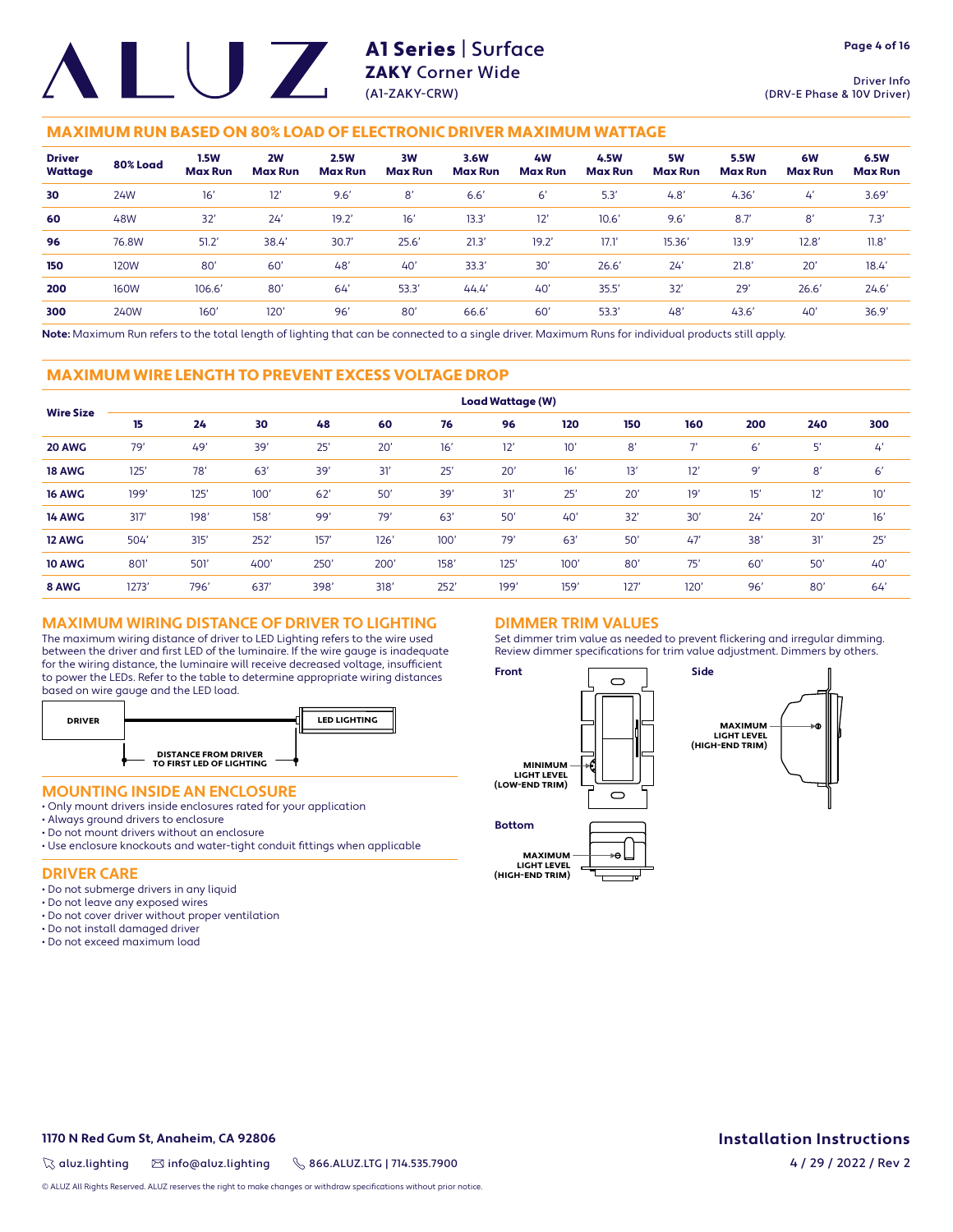Driver Info (DRV-E Phase & 10V Driver)

# MAXIMUM RUN BASED ON 80% LOAD OF ELECTRONIC DRIVER MAXIMUM WATTAGE

| <b>Driver</b><br>Wattage | 80% Load    | <b>1.5W</b><br><b>Max Run</b> | 2W<br><b>Max Run</b> | <b>2.5W</b><br><b>Max Run</b> | 3W<br><b>Max Run</b> | 3.6W<br><b>Max Run</b> | 4 <b>W</b><br><b>Max Run</b> | 4.5W<br><b>Max Run</b> | 5W<br><b>Max Run</b> | <b>5.5W</b><br><b>Max Run</b> | 6W<br><b>Max Run</b> | 6.5W<br><b>Max Run</b> |
|--------------------------|-------------|-------------------------------|----------------------|-------------------------------|----------------------|------------------------|------------------------------|------------------------|----------------------|-------------------------------|----------------------|------------------------|
| 30                       | 24W         | 16'                           | 12'                  | 9.6'                          | 8'                   | 6.6'                   | 6'                           | 5.3                    | 4.8'                 | 4.36'                         | $\mathcal{L}'$       | 3.69'                  |
| 60                       | 48W         | 32'                           | 24'                  | 19.2'                         | 16'                  | 13.3                   | 12'                          | 10.6'                  | 9.6'                 | 8.7'                          | 8'                   | 7.3'                   |
| 96                       | 76.8W       | 51.2'                         | 38.4                 | 30.7                          | 25.6'                | 21.3'                  | 19.2'                        | 17.1                   | 15.36'               | 13.9'                         | 12.8'                | 11.8'                  |
| 150                      | 120W        | 80'                           | 60'                  | 48 <sup>°</sup>               | 40'                  | 33.3'                  | 30'                          | 26.6'                  | 24'                  | 21.8'                         | 20'                  | 18.4'                  |
| 200                      | <b>160W</b> | 106.6'                        | 80'                  | 64                            | 53.3'                | 44.4'                  | 40'                          | 35.5'                  | 32'                  | 29'                           | 26.6'                | 24.6'                  |
| 300                      | 240W        | $160^\circ$                   | 120 <sup>°</sup>     | 96'                           | 80'                  | 66.6                   | 60'                          | 53.3                   | 48'                  | 43.6'                         | 40'                  | 36.9'                  |

**Note:** Maximum Run refers to the total length of lighting that can be connected to a single driver. Maximum Runs for individual products still apply.

## MAXIMUM WIRE LENGTH TO PREVENT EXCESS VOLTAGE DROP

| <b>Wire Size</b> | <b>Load Wattage (W)</b> |      |      |      |      |      |      |      |      |                          |     |     |     |
|------------------|-------------------------|------|------|------|------|------|------|------|------|--------------------------|-----|-----|-----|
|                  | 15                      | 24   | 30   | 48   | 60   | 76   | 96   | 120  | 150  | 160                      | 200 | 240 | 300 |
| 20 AWG           | 79'                     | 49'  | 39'  | 25'  | 20'  | 16'  | 12'  | 10'  | 8'   | $\overline{\phantom{a}}$ | 6'  | 5'  | 4'  |
| <b>18 AWG</b>    | 125'                    | 78'  | 63'  | 39'  | 31'  | 25'  | 20'  | 16'  | 13'  | 12'                      | 9'  | 8'  | 6'  |
| <b>16 AWG</b>    | 199'                    | 125' | 100' | 62'  | 50'  | 39'  | 31'  | 25'  | 20'  | 19'                      | 15' | 12' | 10' |
| <b>14 AWG</b>    | 317'                    | 198' | 158' | 99'  | 79'  | 63'  | 50'  | 40'  | 32'  | 30'                      | 24' | 20' | 16' |
| 12 AWG           | 504'                    | 315' | 252' | 157' | 126' | 100' | 79'  | 63'  | 50'  | 47'                      | 38' | 31' | 25' |
| <b>10 AWG</b>    | 801                     | 501  | 400' | 250' | 200' | 158' | 125' | 100' | 80'  | 75'                      | 60' | 50' | 40' |
| 8 AWG            | 1273'                   | 796' | 637  | 398' | 318' | 252' | 199' | 159' | 127' | 120'                     | 96' | 80' | 64' |

# **MAXIMUM WIRING DISTANCE OF DRIVER TO LIGHTING**

The maximum wiring distance of driver to LED Lighting refers to the wire used between the driver and first LED of the luminaire. If the wire gauge is inadequate for the wiring distance, the luminaire will receive decreased voltage, insufficient to power the LEDs. Refer to the table to determine appropriate wiring distances based on wire gauge and the LED load.



## **MOUNTING INSIDE AN ENCLOSURE**

- Only mount drivers inside enclosures rated for your application
- Always ground drivers to enclosure
- Do not mount drivers without an enclosure
- Use enclosure knockouts and water-tight conduit fittings when applicable

### **DRIVER CARE**

- Do not submerge drivers in any liquid
- Do not leave any exposed wires
- Do not cover driver without proper ventilation
- Do not install damaged driver
- Do not exceed maximum load

# **DIMMER TRIM VALUES**

Set dimmer trim value as needed to prevent flickering and irregular dimming. Review dimmer specifications for trim value adjustment. Dimmers by others.



**1170 N Red Gum St, Anaheim, CA 92806**

 $\%$  aluz.lighting  $\%$  info@aluz.lighting  $\%$  866.ALUZ.LTG | 714.535.7900

© ALUZ All Rights Reserved. ALUZ reserves the right to make changes or withdraw specifications without prior notice.

# **Installation Instructions**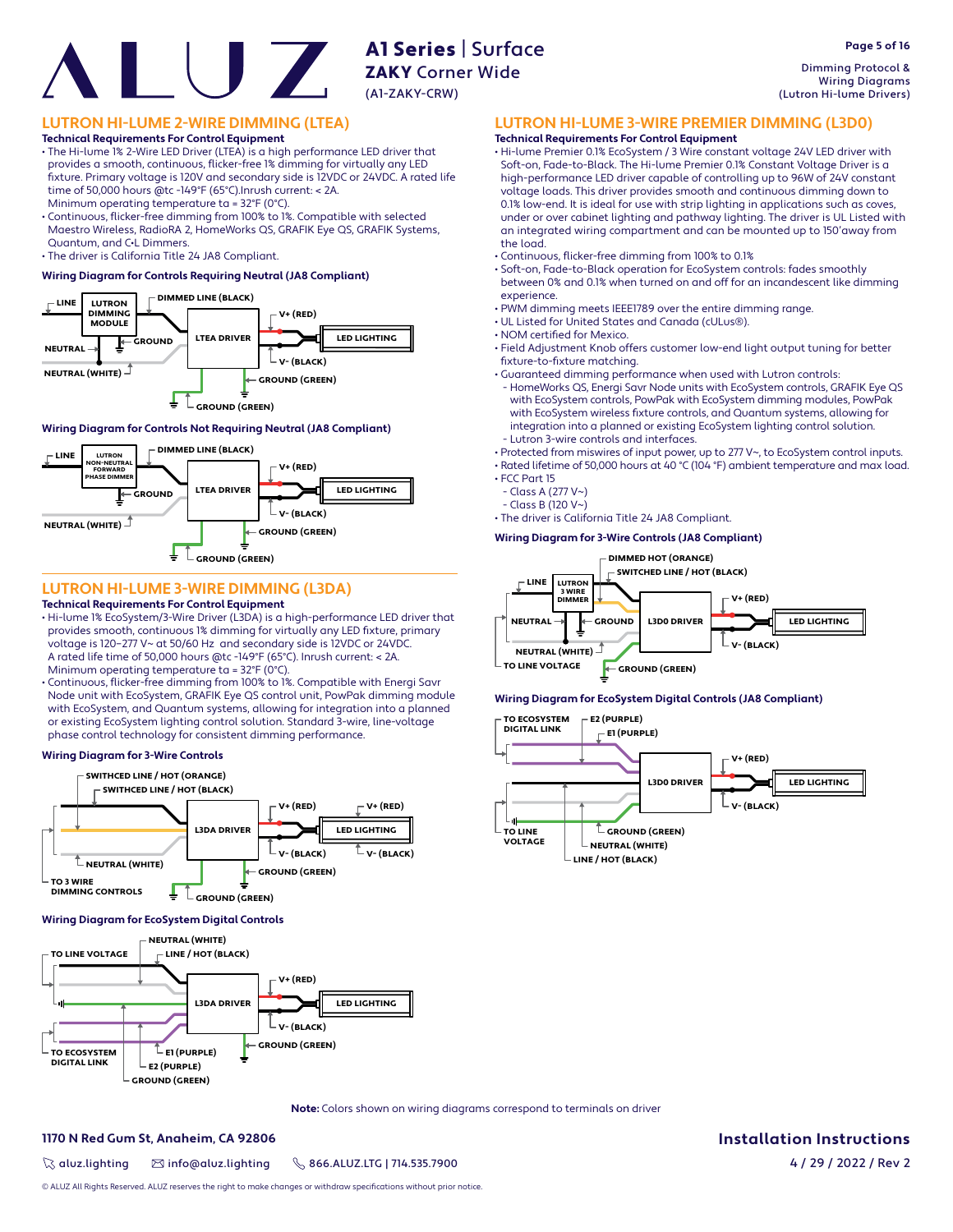# ZAKY Corner Wide (A1-ZAKY-CRW)

A1 Series | Surface

# **LUTRON HI-LUME 2-WIRE DIMMING (LTEA)**

**Technical Requirements For Control Equipment** • The Hi-lume 1% 2-Wire LED Driver (LTEA) is a high performance LED driver that provides a smooth, continuous, flicker-free 1% dimming for virtually any LED fi xture. Primary voltage is 120V and secondary side is 12VDC or 24VDC. A rated life time of 50,000 hours @tc -149°F (65°C).Inrush current: < 2A.

Minimum operating temperature ta = 32°F (0°C).

• Continuous, flicker-free dimming from 100% to 1%. Compatible with selected Maestro Wireless, RadioRA 2, HomeWorks QS, GRAFIK Eye QS, GRAFIK Systems, Quantum, and C•L Dimmers.

• The driver is California Title 24 JA8 Compliant.

### **Wiring Diagram for Controls Requiring Neutral (JA8 Compliant)**



### **Wiring Diagram for Controls Not Requiring Neutral (JA8 Compliant)**

![](_page_4_Figure_10.jpeg)

# **LUTRON HI-LUME 3-WIRE DIMMING (L3DA)**

### **Technical Requirements For Control Equipment**

- Hi-lume 1% EcoSystem/3-Wire Driver (L3DA) is a high-performance LED driver that provides smooth, continuous 1% dimming for virtually any LED fixture, primary voltage is 120–277 V~ at 50/60 Hz and secondary side is 12VDC or 24VDC. A rated life time of 50,000 hours @tc -149°F (65°C). Inrush current: < 2A. Minimum operating temperature ta = 32°F (0°C).
- Continuous, flicker-free dimming from 100% to 1%. Compatible with Energi Savr Node unit with EcoSystem, GRAFIK Eye QS control unit, PowPak dimming module with EcoSystem, and Quantum systems, allowing for integration into a planned or existing EcoSystem lighting control solution. Standard 3-wire, line-voltage phase control technology for consistent dimming performance.

#### **Wiring Diagram for 3-Wire Controls**

![](_page_4_Figure_16.jpeg)

#### **Wiring Diagram for EcoSystem Digital Controls**

![](_page_4_Figure_18.jpeg)

**LUTRON HI-LUME 3-WIRE PREMIER DIMMING (L3D0)**

### **Technical Requirements For Control Equipment**

• Hi-lume Premier 0.1% EcoSystem / 3 Wire constant voltage 24V LED driver with Soft-on, Fade-to-Black. The Hi-lume Premier 0.1% Constant Voltage Driver is a high-performance LED driver capable of controlling up to 96W of 24V constant voltage loads. This driver provides smooth and continuous dimming down to 0.1% low-end. It is ideal for use with strip lighting in applications such as coves, under or over cabinet lighting and pathway lighting. The driver is UL Listed with an integrated wiring compartment and can be mounted up to 150'away from the load.

- Continuous, flicker-free dimming from 100% to 0.1%
- Soft-on, Fade-to-Black operation for EcoSystem controls: fades smoothly between 0% and 0.1% when turned on and off for an incandescent like dimming experience.
- PWM dimming meets IEEE1789 over the entire dimming range.
- UL Listed for United States and Canada (cULus®).
- NOM certified for Mexico.
- Field Adjustment Knob offers customer low-end light output tuning for better fixture-to-fixture matching.
- Guaranteed dimming performance when used with Lutron controls:
- HomeWorks QS, Energi Savr Node units with EcoSystem controls, GRAFIK Eye QS with EcoSystem controls, PowPak with EcoSystem dimming modules, PowPak with EcoSystem wireless fixture controls, and Quantum systems, allowing for integration into a planned or existing EcoSystem lighting control solution. - Lutron 3-wire controls and interfaces.
- Protected from miswires of input power, up to 277 V~, to EcoSystem control inputs.

• Rated lifetime of 50,000 hours at 40 °C (104 °F) ambient temperature and max load. • FCC Part 15

- Class A (277 V~)
- Class B (120 V~)

• The driver is California Title 24 JA8 Compliant.

#### **Wiring Diagram for 3-Wire Controls (JA8 Compliant)**

![](_page_4_Figure_36.jpeg)

#### **Wiring Diagram for EcoSystem Digital Controls (JA8 Compliant)**

![](_page_4_Figure_38.jpeg)

**Note:** Colors shown on wiring diagrams correspond to terminals on driver

#### **1170 N Red Gum St, Anaheim, CA 92806**

 $\%$  aluz.lighting  $\%$  info@aluz.lighting  $\%$  866.ALUZ.LTG | 714.535.7900

**Installation Instructions**

4 / 29 / 2022 / Rev 2

© ALUZ All Rights Reserved. ALUZ reserves the right to make changes or withdraw specifications without prior notice.

Dimming Protocol & Wiring Diagrams (Lutron Hi-lume Drivers)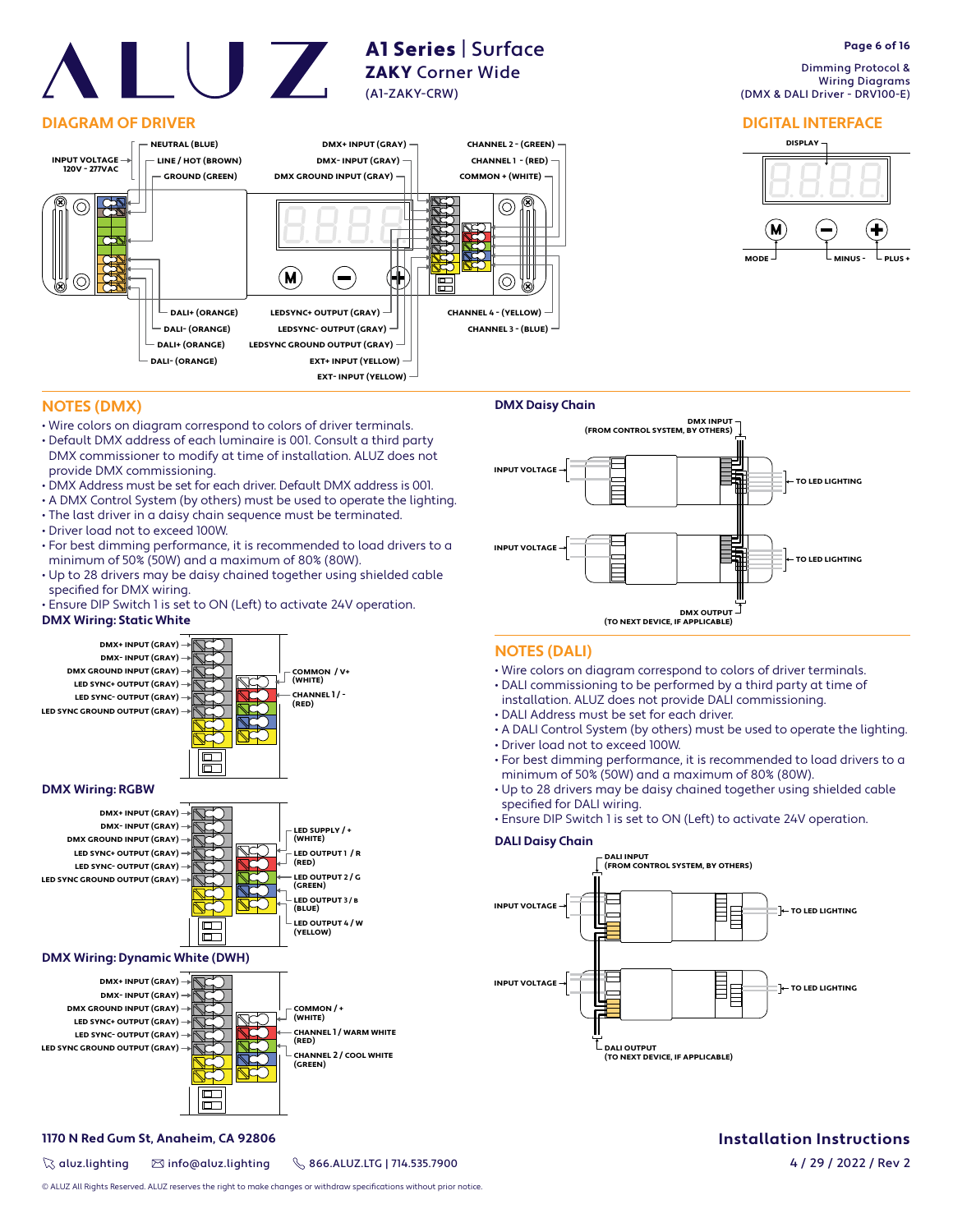# **DIAGRAM OF DRIVER**

![](_page_5_Figure_2.jpeg)

A1 Series | Surface ZAKY Corner Wide

(A1-ZAKY-CRW)

# **Page 6 of 16**

 Dimming Protocol & Wiring Diagrams (DMX & DALI Driver - DRV100-E)

# **DIGITAL INTERFACE**

![](_page_5_Figure_6.jpeg)

# **NOTES (DMX)**

- Wire colors on diagram correspond to colors of driver terminals.
- Default DMX address of each luminaire is 001. Consult a third party DMX commissioner to modify at time of installation. ALUZ does not provide DMX commissioning.
- DMX Address must be set for each driver. Default DMX address is 001.
- A DMX Control System (by others) must be used to operate the lighting.
- The last driver in a daisy chain sequence must be terminated.
- Driver load not to exceed 100W.
- For best dimming performance, it is recommended to load drivers to a minimum of 50% (50W) and a maximum of 80% (80W).
- Up to 28 drivers may be daisy chained together using shielded cable specified for DMX wiring.
- Ensure DIP Switch 1 is set to ON (Left) to activate 24V operation.

# **DMX Wiring: Static White**

![](_page_5_Figure_18.jpeg)

![](_page_5_Figure_19.jpeg)

![](_page_5_Figure_20.jpeg)

# **DMX Wiring: Dynamic White (DWH)**

![](_page_5_Figure_22.jpeg)

# **1170 N Red Gum St, Anaheim, CA 92806**

 $\%$  aluz.lighting  $\%$  info@aluz.lighting  $\%$  866.ALUZ.LTG | 714.535.7900

![](_page_5_Figure_26.jpeg)

# **NOTES (DALI)**

- Wire colors on diagram correspond to colors of driver terminals.
- DALI commissioning to be performed by a third party at time of
- installation. ALUZ does not provide DALI commissioning.
- DALI Address must be set for each driver.
- A DALI Control System (by others) must be used to operate the lighting. • Driver load not to exceed 100W.
- For best dimming performance, it is recommended to load drivers to a minimum of 50% (50W) and a maximum of 80% (80W).
- Up to 28 drivers may be daisy chained together using shielded cable specified for DALI wiring.
- Ensure DIP Switch 1 is set to ON (Left) to activate 24V operation.

## **DALI Daisy Chain**

![](_page_5_Figure_37.jpeg)

# **Installation Instructions**

© ALUZ All Rights Reserved. ALUZ reserves the right to make changes or withdraw specifications without prior notice.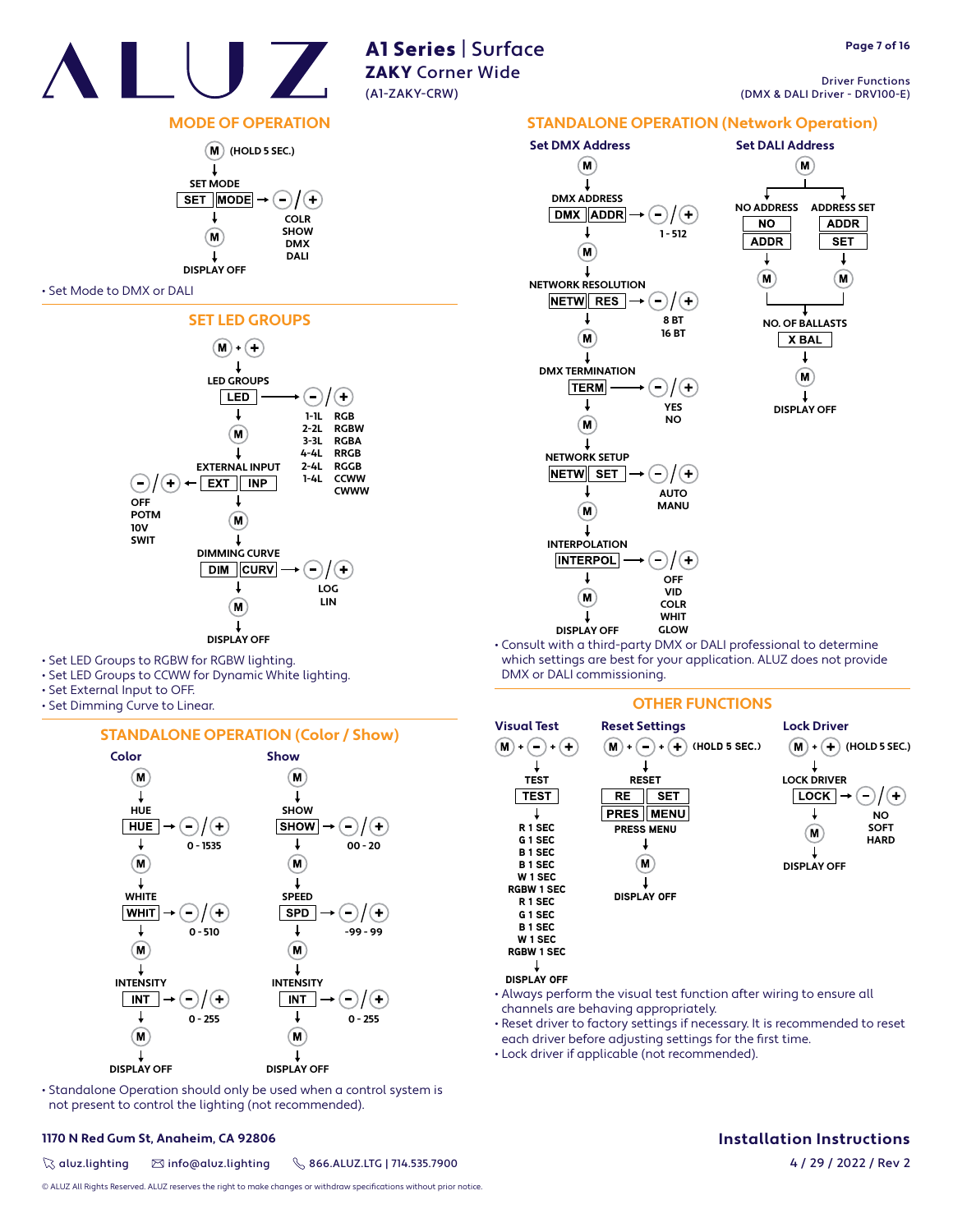![](_page_6_Picture_0.jpeg)

Driver Functions (DMX & DALI Driver - DRV100-E)

# **MODE OF OPERATION**

![](_page_6_Figure_5.jpeg)

#### • Set Mode to DMX or DALI

![](_page_6_Figure_7.jpeg)

- Set LED Groups to RGBW for RGBW lighting.
- Set LED Groups to CCWW for Dynamic White lighting.
- Set External Input to OFF.
- Set Dimming Curve to Linear.

## **STANDALONE OPERATION (Color / Show)**

![](_page_6_Figure_13.jpeg)

• Standalone Operation should only be used when a control system is not present to control the lighting (not recommended).

# **1170 N Red Gum St, Anaheim, CA 92806**

 $\%$  aluz.lighting  $\%$  info@aluz.lighting  $\%$  866.ALUZ.LTG | 714.535.7900

© ALUZ All Rights Reserved. ALUZ reserves the right to make changes or withdraw specifications without prior notice.

![](_page_6_Figure_18.jpeg)

• Consult with a third-party DMX or DALI professional to determine which settings are best for your application. ALUZ does not provide DMX or DALI commissioning.

# **OTHER FUNCTIONS**

![](_page_6_Figure_21.jpeg)

- Always perform the visual test function after wiring to ensure all channels are behaving appropriately.
- Reset driver to factory settings if necessary. It is recommended to reset each driver before adjusting settings for the first time.
- Lock driver if applicable (not recommended).

# **Installation Instructions**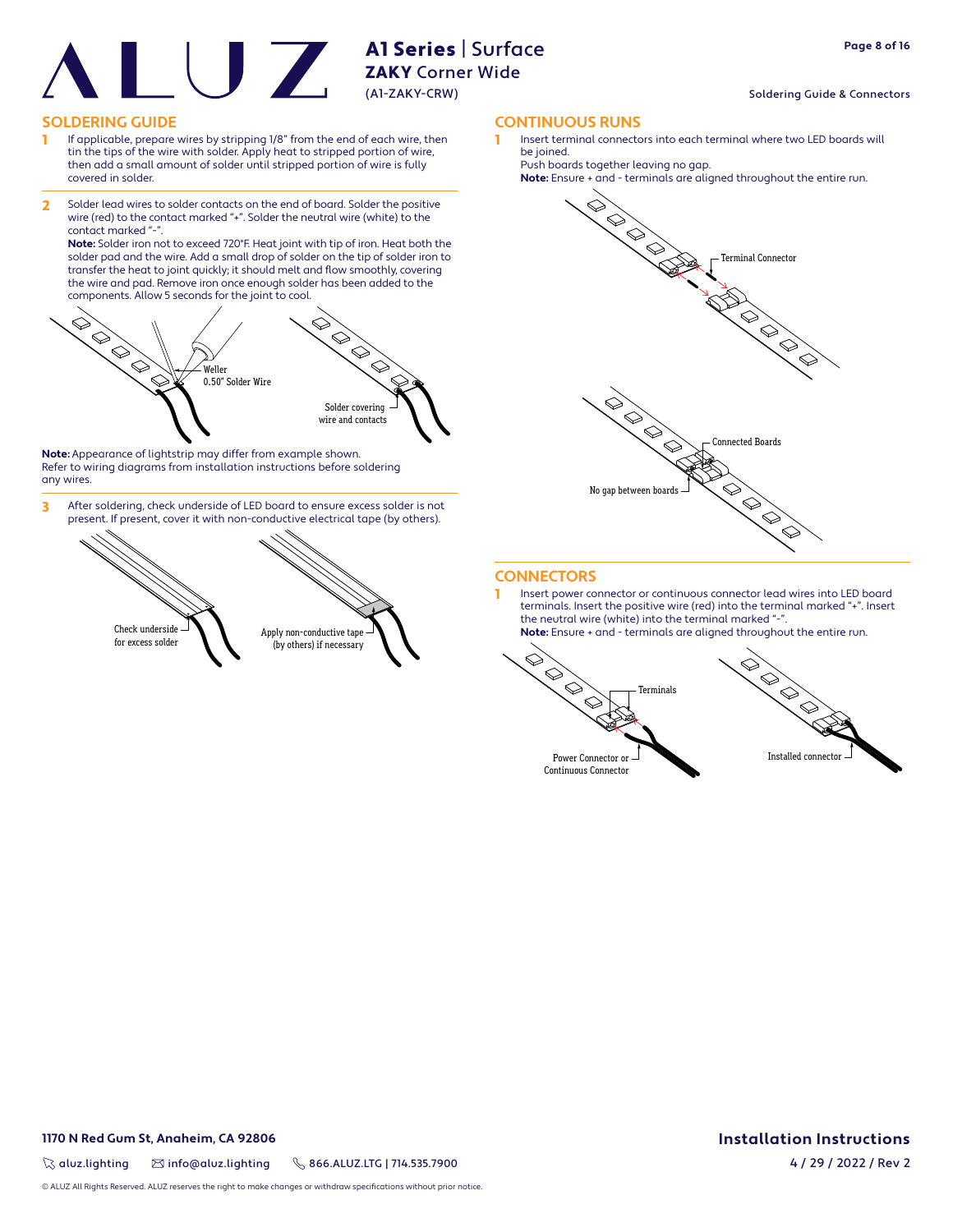#### Soldering Guide & Connectors

## **SOLDERING GUIDE CONTINUOUS RUNS**

- 1 If applicable, prepare wires by stripping 1/8" from the end of each wire, then tin the tips of the wire with solder. Apply heat to stripped portion of wire, then add a small amount of solder until stripped portion of wire is fully covered in solder.
- 2 Solder lead wires to solder contacts on the end of board. Solder the positive wire (red) to the contact marked "+". Solder the neutral wire (white) to the contact marked "-

**Note:** Solder iron not to exceed 720°F. Heat joint with tip of iron. Heat both the solder pad and the wire. Add a small drop of solder on the tip of solder iron to transfer the heat to joint quickly; it should melt and flow smoothly, covering the wire and pad. Remove iron once enough solder has been added to the components. Allow 5 seconds for the joint to cool.

![](_page_7_Picture_7.jpeg)

**Note:** Appearance of lightstrip may differ from example shown. Refer to wiring diagrams from installation instructions before soldering any wires.

3 After soldering, check underside of LED board to ensure excess solder is not present. If present, cover it with non-conductive electrical tape (by others).

![](_page_7_Picture_10.jpeg)

1 Insert terminal connectors into each terminal where two LED boards will be joined.

Push boards together leaving no gap.

![](_page_7_Figure_14.jpeg)

![](_page_7_Figure_15.jpeg)

# **CONNECTORS**

1 Insert power connector or continuous connector lead wires into LED board terminals. Insert the positive wire (red) into the terminal marked "+". Insert the neutral wire (white) into the terminal marked "-**Note:** Ensure + and - terminals are aligned throughout the entire run.

 $\bigotimes$  $\bigotimes$  $\Diamond$ Terminals  $\Diamond$ Power Connector or

![](_page_7_Picture_19.jpeg)

Continuous Connector

# **1170 N Red Gum St, Anaheim, CA 92806**

 $\%$  aluz.lighting  $\%$  info@aluz.lighting  $\%$  866.ALUZ.LTG | 714.535.7900

© ALUZ All Rights Reserved. ALUZ reserves the right to make changes or withdraw specifications without prior notice.

# **Installation Instructions**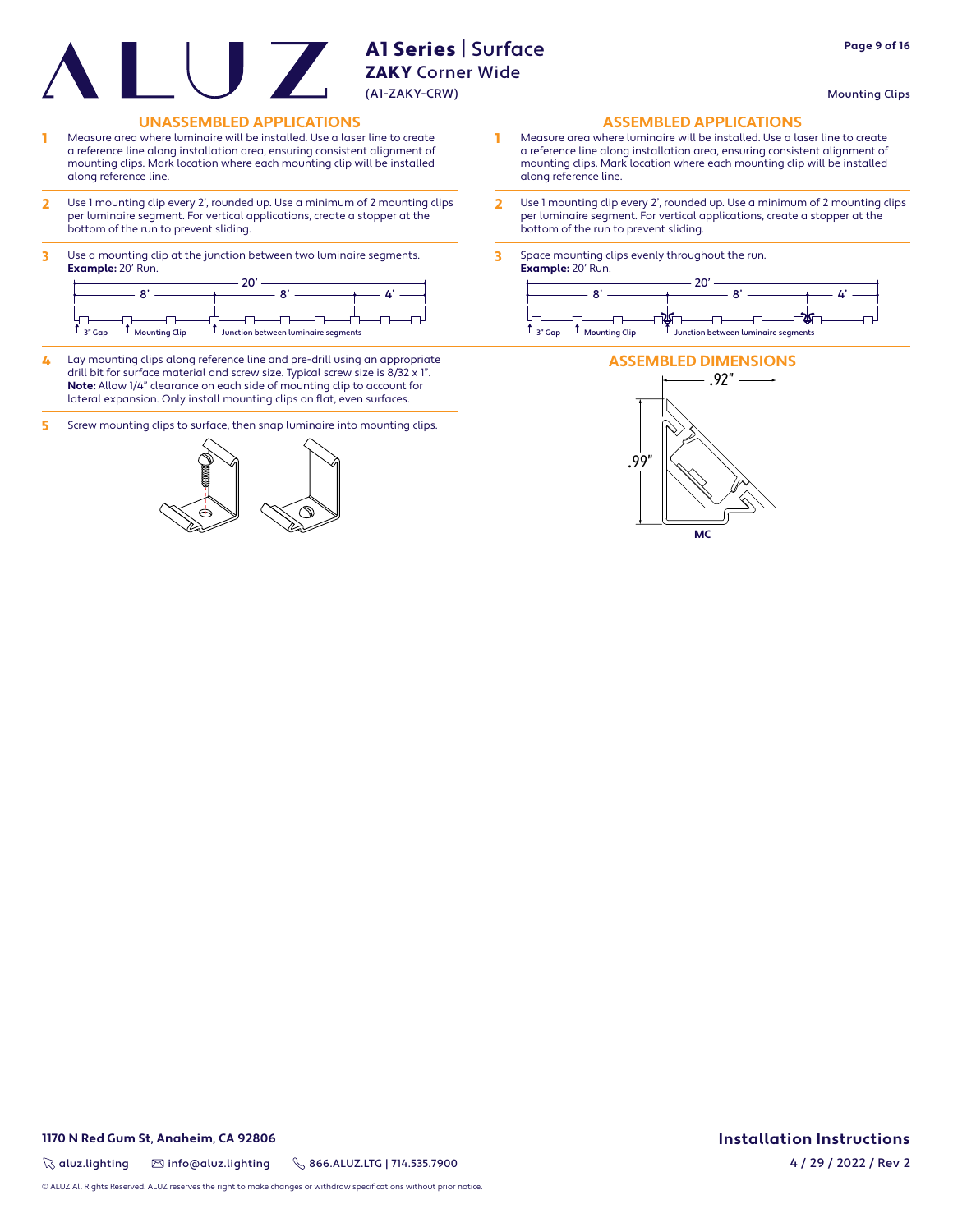Mounting Clips

**Page 9 of 16**

# **UNASSEMBLED APPLICATIONS ASSEMBLED APPLICATIONS**

- 1 Measure area where luminaire will be installed. Use a laser line to create a reference line along installation area, ensuring consistent alignment of mounting clips. Mark location where each mounting clip will be installed along reference line.
- 2 Use 1 mounting clip every 2', rounded up. Use a minimum of 2 mounting clips per luminaire segment. For vertical applications, create a stopper at the bottom of the run to prevent sliding.
- 3 Use a mounting clip at the junction between two luminaire segments. **Example:** 20' Run.

|          |                   | $\sim$ |                                                              |  |                    |
|----------|-------------------|--------|--------------------------------------------------------------|--|--------------------|
|          |                   |        |                                                              |  |                    |
| $-3"Gap$ | $L$ Mounting Clip |        | $\overline{\phantom{a}}$ Junction between luminaire segments |  | $-3"$ Gap<br>L Mou |

- 4 Lay mounting clips along reference line and pre-drill using an appropriate drill bit for surface material and screw size. Typical screw size is 8/32 x 1". **Note:** Allow 1/4" clearance on each side of mounting clip to account for lateral expansion. Only install mounting clips on flat, even surfaces.
- 5 Screw mounting clips to surface, then snap luminaire into mounting clips.

![](_page_8_Figure_10.jpeg)

- 1 Measure area where luminaire will be installed. Use a laser line to create a reference line along installation area, ensuring consistent alignment of mounting clips. Mark location where each mounting clip will be installed along reference line.
- 2 Use 1 mounting clip every 2', rounded up. Use a minimum of 2 mounting clips per luminaire segment. For vertical applications, create a stopper at the bottom of the run to prevent sliding.
- 3 Space mounting clips evenly throughout the run. **Example:** 20' Run.

![](_page_8_Figure_15.jpeg)

![](_page_8_Figure_16.jpeg)

# **1170 N Red Gum St, Anaheim, CA 92806**

 $\%$  aluz.lighting  $\%$  info@aluz.lighting  $\%$  866.ALUZ.LTG | 714.535.7900

# **Installation Instructions**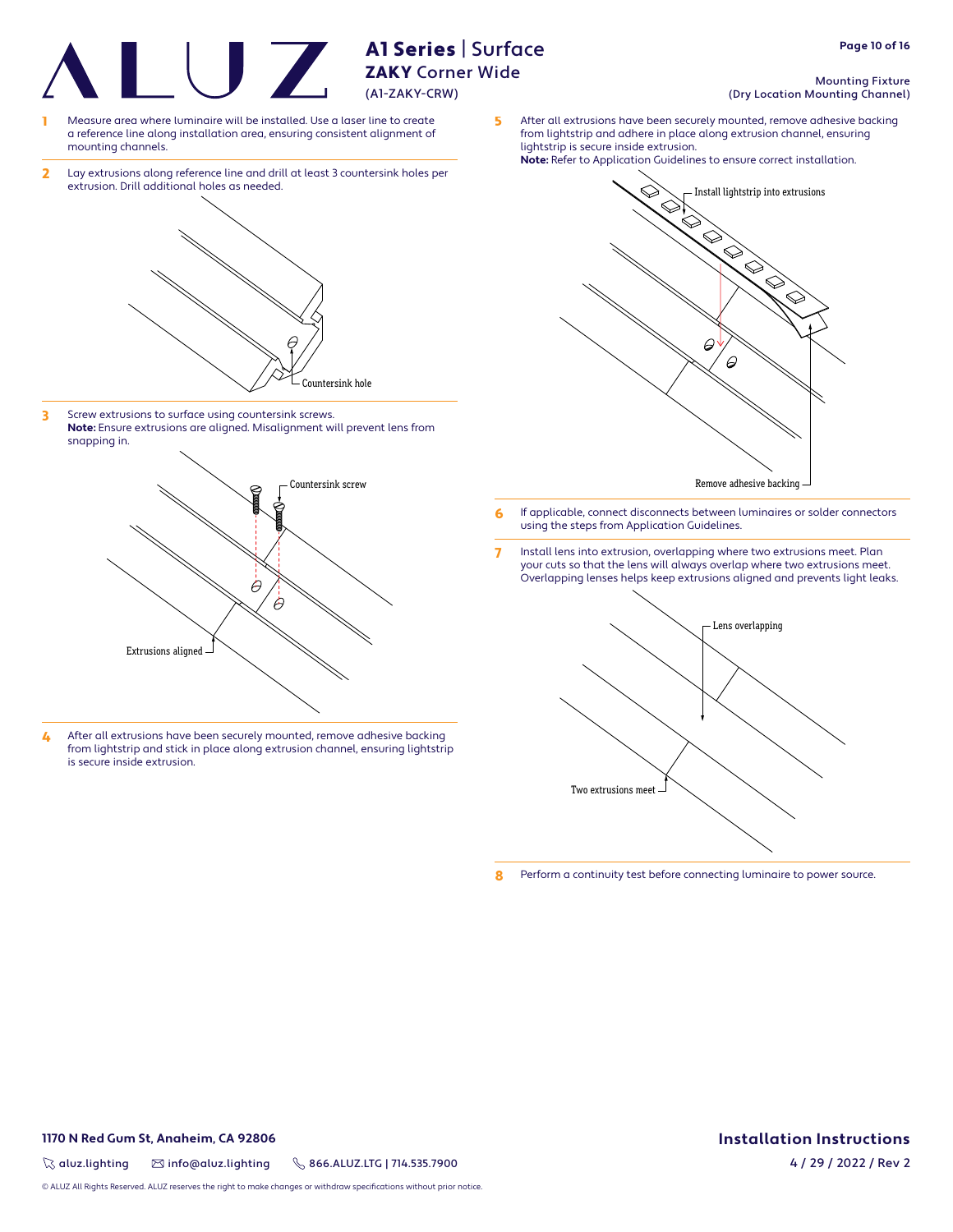ZAKY Corner Wide (A1-ZAKY-CRW)

A1 Series | Surface

- Measure area where luminaire will be installed. Use a laser line to create a reference line along installation area, ensuring consistent alignment of mounting channels.
- 2 Lay extrusions along reference line and drill at least 3 countersink holes per extrusion. Drill additional holes as needed.

![](_page_9_Figure_3.jpeg)

3 Screw extrusions to surface using countersink screws. **Note:** Ensure extrusions are aligned. Misalignment will prevent lens from snapping in.

![](_page_9_Figure_5.jpeg)

4 After all extrusions have been securely mounted, remove adhesive backing from lightstrip and stick in place along extrusion channel, ensuring lightstrip is secure inside extrusion.

**Page 10 of 16**

#### Mounting Fixture (Dry Location Mounting Channel)

5 After all extrusions have been securely mounted, remove adhesive backing from lightstrip and adhere in place along extrusion channel, ensuring lightstrip is secure inside extrusion.

![](_page_9_Figure_10.jpeg)

- 6 If applicable, connect disconnects between luminaires or solder connectors using the steps from Application Guidelines.
- 7 Install lens into extrusion, overlapping where two extrusions meet. Plan your cuts so that the lens will always overlap where two extrusions meet. Overlapping lenses helps keep extrusions aligned and prevents light leaks.

![](_page_9_Figure_13.jpeg)

8 Perform a continuity test before connecting luminaire to power source.

# **1170 N Red Gum St, Anaheim, CA 92806**

 $\%$  aluz.lighting  $\%$  info@aluz.lighting  $\%$  866.ALUZ.LTG | 714.535.7900

© ALUZ All Rights Reserved. ALUZ reserves the right to make changes or withdraw specifications without prior notice.

# **Installation Instructions**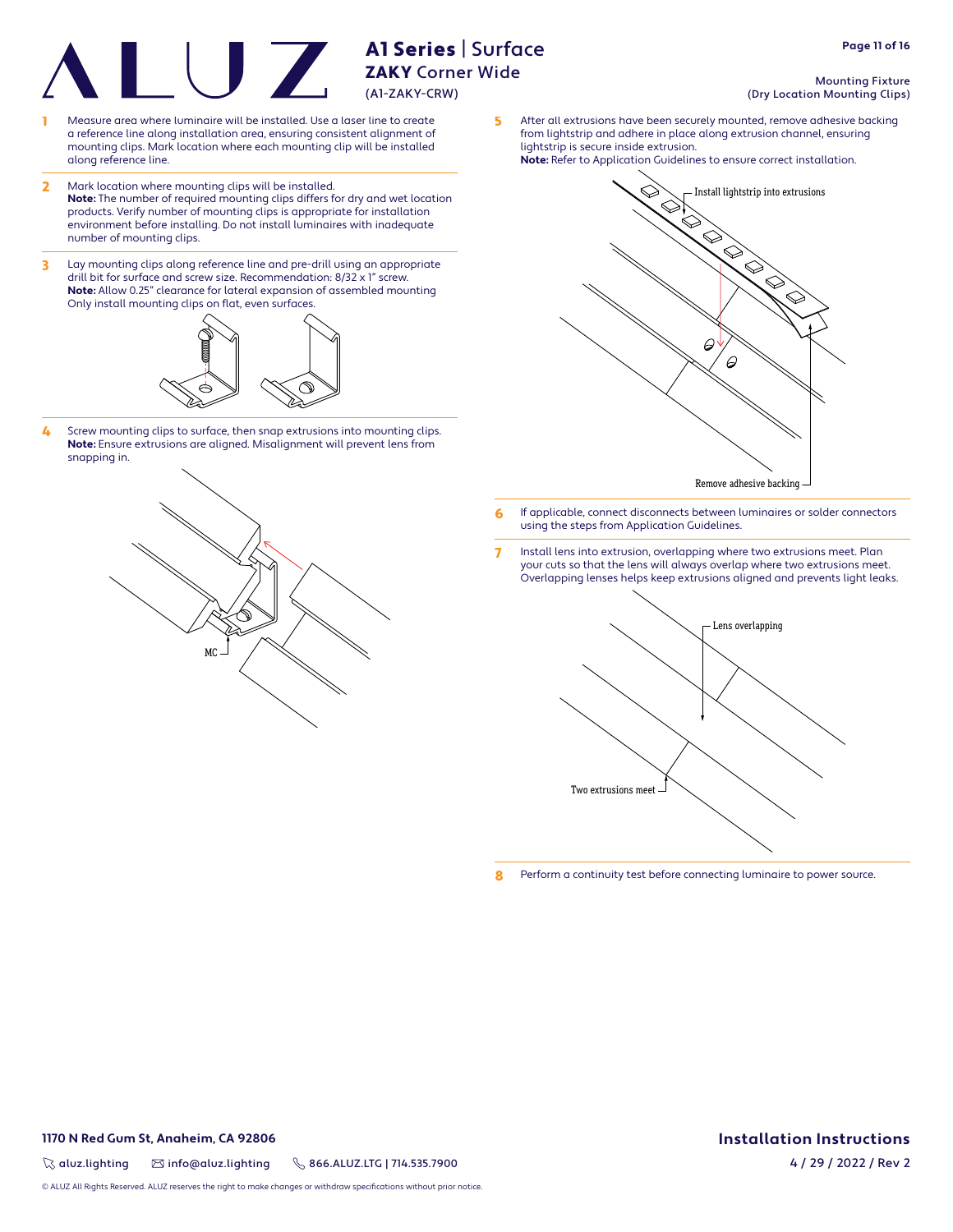- Measure area where luminaire will be installed. Use a laser line to create a reference line along installation area, ensuring consistent alignment of mounting clips. Mark location where each mounting clip will be installed along reference line.
- 2 Mark location where mounting clips will be installed. **Note:** The number of required mounting clips differs for dry and wet location products. Verify number of mounting clips is appropriate for installation environment before installing. Do not install luminaires with inadequate number of mounting clips.
- 3 Lay mounting clips along reference line and pre-drill using an appropriate drill bit for surface and screw size. Recommendation: 8/32 x 1" screw. **Note:** Allow 0.25" clearance for lateral expansion of assembled mounting Only install mounting clips on flat, even surfaces.

![](_page_10_Figure_4.jpeg)

4 Screw mounting clips to surface, then snap extrusions into mounting clips. **Note:** Ensure extrusions are aligned. Misalignment will prevent lens from snapping in.

![](_page_10_Picture_6.jpeg)

Mounting Fixture (Dry Location Mounting Clips)

5 After all extrusions have been securely mounted, remove adhesive backing from lightstrip and adhere in place along extrusion channel, ensuring lightstrip is secure inside extrusion.

![](_page_10_Figure_9.jpeg)

- 6 If applicable, connect disconnects between luminaires or solder connectors using the steps from Application Guidelines.
- 7 Install lens into extrusion, overlapping where two extrusions meet. Plan your cuts so that the lens will always overlap where two extrusions meet. Overlapping lenses helps keep extrusions aligned and prevents light leaks.

![](_page_10_Picture_12.jpeg)

8 Perform a continuity test before connecting luminaire to power source.

# **1170 N Red Gum St, Anaheim, CA 92806**

 $\%$  aluz.lighting  $\%$  info@aluz.lighting  $\%$  866.ALUZ.LTG | 714.535.7900

© ALUZ All Rights Reserved. ALUZ reserves the right to make changes or withdraw specifications without prior notice.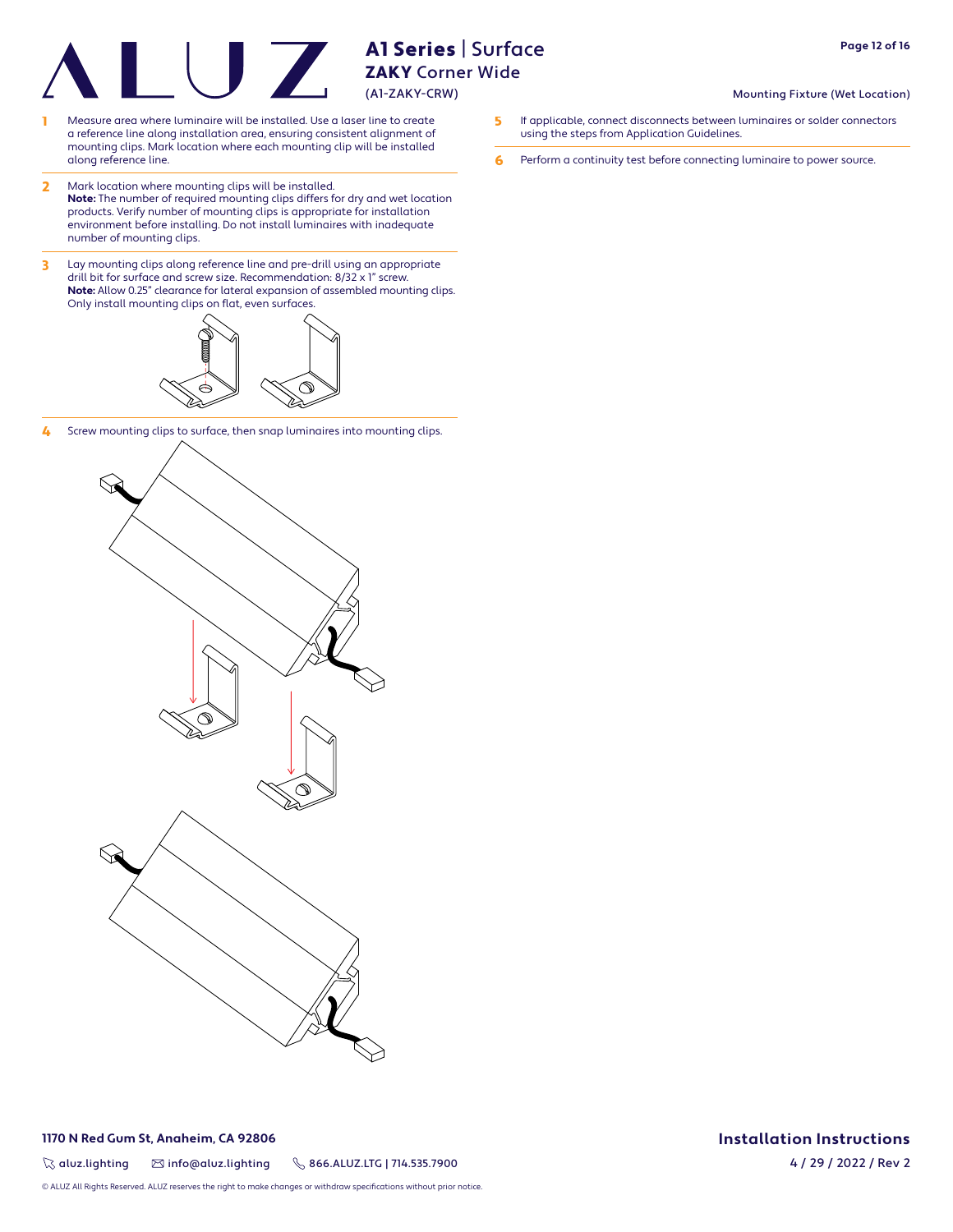- 1 Measure area where luminaire will be installed. Use a laser line to create a reference line along installation area, ensuring consistent alignment of mounting clips. Mark location where each mounting clip will be installed along reference line.
- 2 Mark location where mounting clips will be installed. **Note:** The number of required mounting clips differs for dry and wet location products. Verify number of mounting clips is appropriate for installation environment before installing. Do not install luminaires with inadequate number of mounting clips.
- 3 Lay mounting clips along reference line and pre-drill using an appropriate drill bit for surface and screw size. Recommendation: 8/32 x 1" screw. **Note:** Allow 0.25" clearance for lateral expansion of assembled mounting clips. Only install mounting clips on flat, even surfaces.

![](_page_11_Figure_5.jpeg)

4 Screw mounting clips to surface, then snap luminaires into mounting clips.

![](_page_11_Figure_7.jpeg)

![](_page_11_Picture_9.jpeg)

© ALUZ All Rights Reserved. ALUZ reserves the right to make changes or withdraw specifi cations without prior notice.

### Mounting Fixture (Wet Location)

- 5 If applicable, connect disconnects between luminaires or solder connectors using the steps from Application Guidelines.
- 6 Perform a continuity test before connecting luminaire to power source.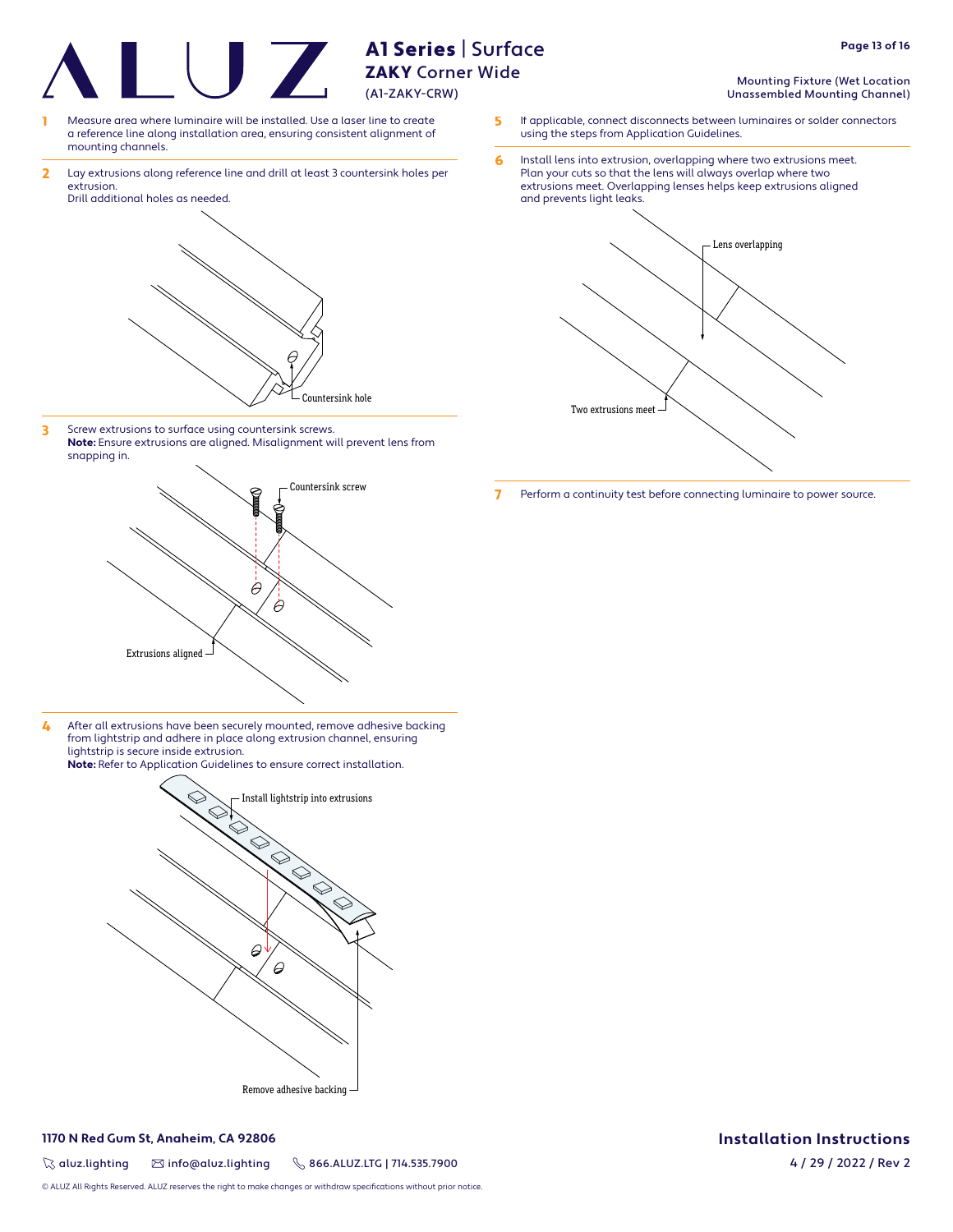ZAKY Corner Wide (A1-ZAKY-CRW)

A1 Series | Surface

- Measure area where luminaire will be installed. Use a laser line to create a reference line along installation area, ensuring consistent alignment of mounting channels.
- 2 Lay extrusions along reference line and drill at least 3 countersink holes per extrusion.

![](_page_12_Picture_3.jpeg)

3 Screw extrusions to surface using countersink screws. **Note:** Ensure extrusions are aligned. Misalignment will prevent lens from snapping in.

![](_page_12_Picture_5.jpeg)

4 After all extrusions have been securely mounted, remove adhesive backing from lightstrip and adhere in place along extrusion channel, ensuring lightstrip is secure inside extrusion. **Note:** Refer to Application Guidelines to ensure correct installation.

> Install lightstrip into extrusions  $\varphi$  $\varTheta$ Remove adhesive backing

# **1170 N Red Gum St, Anaheim, CA 92806**

 $\%$  aluz.lighting  $\%$  info@aluz.lighting  $\%$  866.ALUZ.LTG | 714.535.7900

© ALUZ All Rights Reserved. ALUZ reserves the right to make changes or withdraw specifications without prior notice.

- Mounting Fixture (Wet Location Unassembled Mounting Channel)
- 5 If applicable, connect disconnects between luminaires or solder connectors using the steps from Application Guidelines.
- 6 Install lens into extrusion, overlapping where two extrusions meet. Plan your cuts so that the lens will always overlap where two extrusions meet. Overlapping lenses helps keep extrusions aligned and prevents light leaks.

![](_page_12_Figure_14.jpeg)

7 Perform a continuity test before connecting luminaire to power source.

# **Installation Instructions**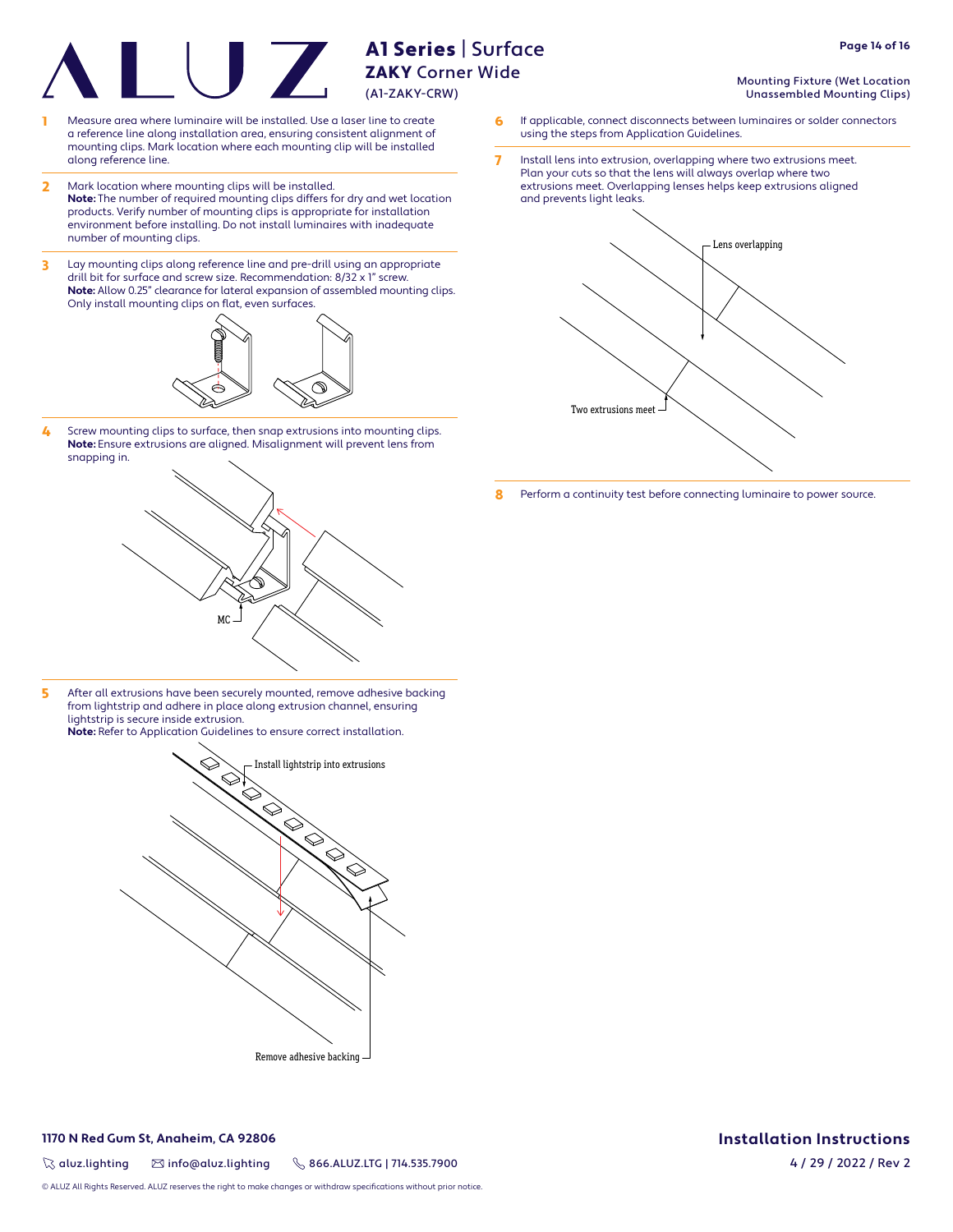- Measure area where luminaire will be installed. Use a laser line to create a reference line along installation area, ensuring consistent alignment of mounting clips. Mark location where each mounting clip will be installed along reference line.
- 2 Mark location where mounting clips will be installed. **Note:** The number of required mounting clips differs for dry and wet location products. Verify number of mounting clips is appropriate for installation environment before installing. Do not install luminaires with inadequate number of mounting clips.
- 3 Lay mounting clips along reference line and pre-drill using an appropriate drill bit for surface and screw size. Recommendation: 8/32 x 1" screw. **Note:** Allow 0.25" clearance for lateral expansion of assembled mounting clips. Only install mounting clips on flat, even surfaces.

![](_page_13_Figure_4.jpeg)

4 Screw mounting clips to surface, then snap extrusions into mounting clips. **Note:** Ensure extrusions are aligned. Misalignment will prevent lens from snapping in.

![](_page_13_Picture_6.jpeg)

5 After all extrusions have been securely mounted, remove adhesive backing from lightstrip and adhere in place along extrusion channel, ensuring lightstrip is secure inside extrusion.

**Note:** Refer to Application Guidelines to ensure correct installation.

![](_page_13_Figure_9.jpeg)

**1170 N Red Gum St, Anaheim, CA 92806**

 $\%$  aluz.lighting  $\%$  info@aluz.lighting  $\%$  866.ALUZ.LTG | 714.535.7900

© ALUZ All Rights Reserved. ALUZ reserves the right to make changes or withdraw specifications without prior notice.

- Mounting Fixture (Wet Location Unassembled Mounting Clips)
- 6 If applicable, connect disconnects between luminaires or solder connectors using the steps from Application Guidelines.
- 7 Install lens into extrusion, overlapping where two extrusions meet. Plan your cuts so that the lens will always overlap where two extrusions meet. Overlapping lenses helps keep extrusions aligned and prevents light leaks.

![](_page_13_Figure_16.jpeg)

8 Perform a continuity test before connecting luminaire to power source.

# **Installation Instructions**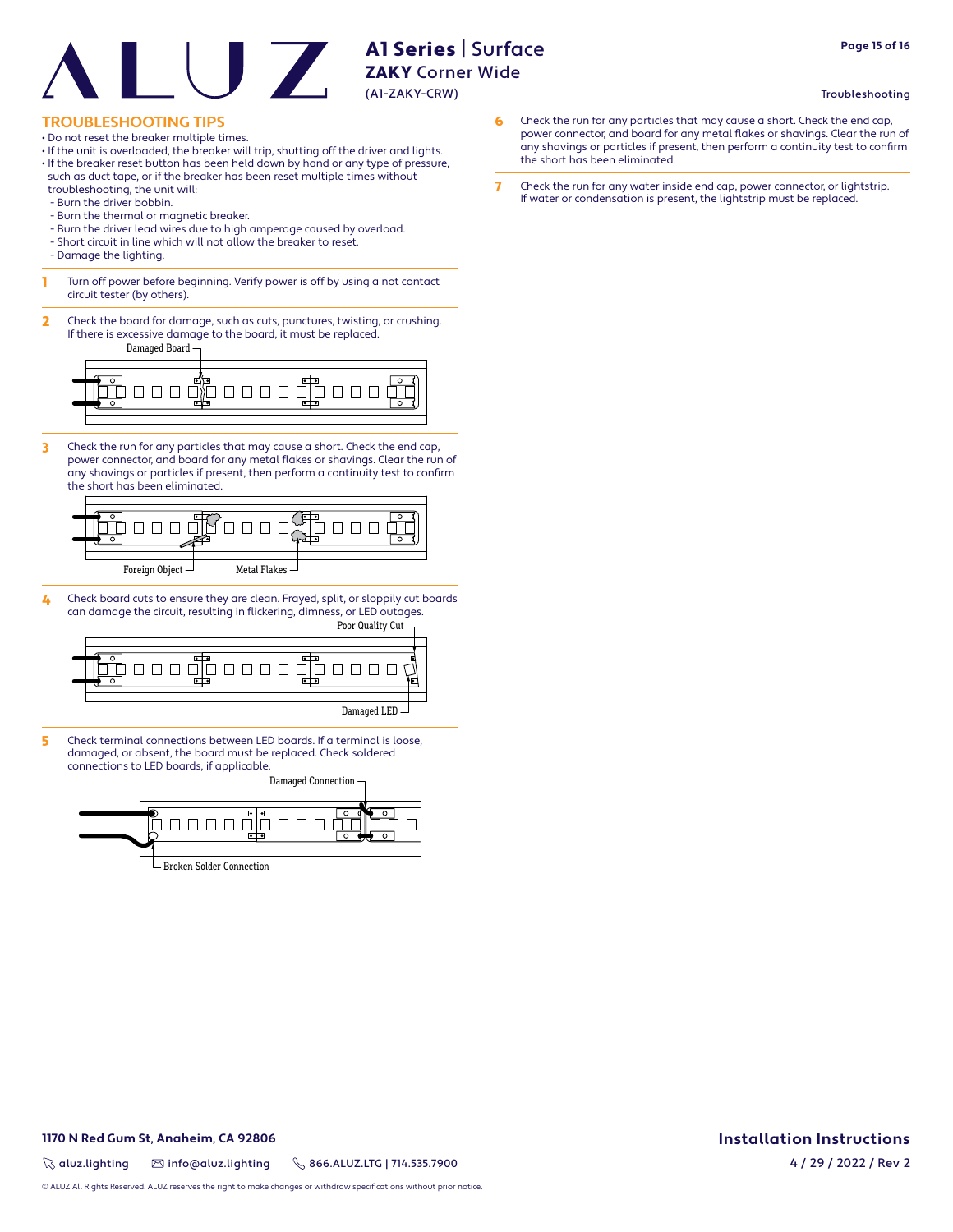# **TROUBLESHOOTING TIPS**

- Do not reset the breaker multiple times.
- If the unit is overloaded, the breaker will trip, shutting off the driver and lights.
- If the breaker reset button has been held down by hand or any type of pressure, such as duct tape, or if the breaker has been reset multiple times without troubleshooting, the unit will:
- Burn the driver bobbin.
- Burn the thermal or magnetic breaker.
- Burn the driver lead wires due to high amperage caused by overload.
- Short circuit in line which will not allow the breaker to reset.
- Damage the lighting.
- **1** Turn off power before beginning. Verify power is off by using a not contact circuit tester (by others).
- 2 Check the board for damage, such as cuts, punctures, twisting, or crushing. If there is excessive damage to the board, it must be replaced.

Damaged Board

![](_page_14_Figure_13.jpeg)

3 Check the run for any particles that may cause a short. Check the end cap, power connector, and board for any metal flakes or shavings. Clear the run of any shavings or particles if present, then perform a continuity test to confirm the short has been eliminated.

![](_page_14_Figure_15.jpeg)

4 Check board cuts to ensure they are clean. Frayed, split, or sloppily cut boards can damage the circuit, resulting in flickering, dimness, or LED outages.

![](_page_14_Figure_17.jpeg)

5 Check terminal connections between LED boards. If a terminal is loose, damaged, or absent, the board must be replaced. Check soldered connections to LED boards, if applicable.

Damaged Connection <u>000000000</u> Broken Solder Connection

- 6 Check the run for any particles that may cause a short. Check the end cap, power connector, and board for any metal flakes or shavings. Clear the run of any shavings or particles if present, then perform a continuity test to confirm the short has been eliminated.
- 7 Check the run for any water inside end cap, power connector, or lightstrip. If water or condensation is present, the lightstrip must be replaced.

Troubleshooting

# **1170 N Red Gum St, Anaheim, CA 92806**

 $\%$  aluz.lighting  $\%$  info@aluz.lighting  $\%$  866.ALUZ.LTG | 714.535.7900

© ALUZ All Rights Reserved. ALUZ reserves the right to make changes or withdraw specifications without prior notice.

# **Installation Instructions**